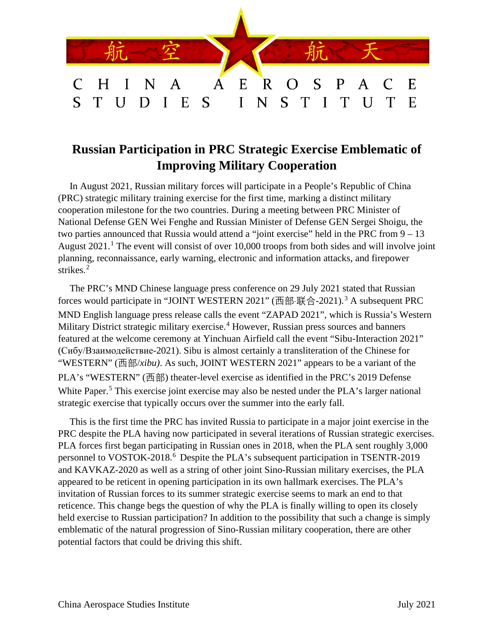

## **Russian Participation in PRC Strategic Exercise Emblematic of Improving Military Cooperation**

In August 2021, Russian military forces will participate in a People's Republic of China (PRC) strategic military training exercise for the first time, marking a distinct military cooperation milestone for the two countries. During a meeting between PRC Minister of National Defense GEN Wei Fenghe and Russian Minister of Defense GEN Sergei Shoigu, the two parties announced that Russia would attend a "joint exercise" held in the PRC from 9 – 13 August  $2021$  $2021$ .<sup>1</sup> The event will consist of over 10,000 troops from both sides and will involve joint planning, reconnaissance, early warning, electronic and information attacks, and firepower strikes.<sup>[2](#page-2-1)</sup>

The PRC's MND Chinese language press conference on 29 July 2021 stated that Russian forces would participate in "JOINT WESTERN 2021" (西部·联合-2021).[3](#page-2-2) A subsequent PRC MND English language press release calls the event "ZAPAD 2021", which is Russia's Western Military District strategic military exercise.<sup>[4](#page-2-3)</sup> However, Russian press sources and banners featured at the welcome ceremony at Yinchuan Airfield call the event "Sibu-Interaction 2021" (Сибу/Взаимодействие-2021). Sibu is almost certainly a transliteration of the Chinese for "WESTERN" (西部/*xibu)*. As such, JOINT WESTERN 2021" appears to be a variant of the PLA's "WESTERN" (西部) theater-level exercise as identified in the PRC's 2019 Defense White Paper.<sup>[5](#page-2-4)</sup> This exercise joint exercise may also be nested under the PLA's larger national strategic exercise that typically occurs over the summer into the early fall.

This is the first time the PRC has invited Russia to participate in a major joint exercise in the PRC despite the PLA having now participated in several iterations of Russian strategic exercises. PLA forces first began participating in Russian ones in 2018, when the PLA sent roughly 3,000 personnel to VOSTOK-2018.<sup>[6](#page-2-5)</sup> Despite the PLA's subsequent participation in TSENTR-2019 and KAVKAZ-2020 as well as a string of other joint Sino-Russian military exercises, the PLA appeared to be reticent in opening participation in its own hallmark exercises. The PLA's invitation of Russian forces to its summer strategic exercise seems to mark an end to that reticence. This change begs the question of why the PLA is finally willing to open its closely held exercise to Russian participation? In addition to the possibility that such a change is simply emblematic of the natural progression of Sino-Russian military cooperation, there are other potential factors that could be driving this shift.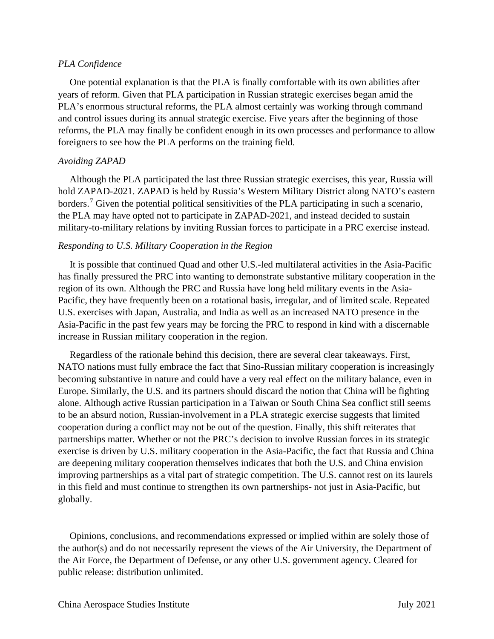## *PLA Confidence*

One potential explanation is that the PLA is finally comfortable with its own abilities after years of reform. Given that PLA participation in Russian strategic exercises began amid the PLA's enormous structural reforms, the PLA almost certainly was working through command and control issues during its annual strategic exercise. Five years after the beginning of those reforms, the PLA may finally be confident enough in its own processes and performance to allow foreigners to see how the PLA performs on the training field.

## *Avoiding ZAPAD*

Although the PLA participated the last three Russian strategic exercises, this year, Russia will hold ZAPAD-2021. ZAPAD is held by Russia's Western Military District along NATO's eastern borders.<sup>[7](#page-2-6)</sup> Given the potential political sensitivities of the PLA participating in such a scenario, the PLA may have opted not to participate in ZAPAD-2021, and instead decided to sustain military-to-military relations by inviting Russian forces to participate in a PRC exercise instead.

## *Responding to U.S. Military Cooperation in the Region*

It is possible that continued Quad and other U.S.-led multilateral activities in the Asia-Pacific has finally pressured the PRC into wanting to demonstrate substantive military cooperation in the region of its own. Although the PRC and Russia have long held military events in the Asia-Pacific, they have frequently been on a rotational basis, irregular, and of limited scale. Repeated U.S. exercises with Japan, Australia, and India as well as an increased NATO presence in the Asia-Pacific in the past few years may be forcing the PRC to respond in kind with a discernable increase in Russian military cooperation in the region.

Regardless of the rationale behind this decision, there are several clear takeaways. First, NATO nations must fully embrace the fact that Sino-Russian military cooperation is increasingly becoming substantive in nature and could have a very real effect on the military balance, even in Europe. Similarly, the U.S. and its partners should discard the notion that China will be fighting alone. Although active Russian participation in a Taiwan or South China Sea conflict still seems to be an absurd notion, Russian-involvement in a PLA strategic exercise suggests that limited cooperation during a conflict may not be out of the question. Finally, this shift reiterates that partnerships matter. Whether or not the PRC's decision to involve Russian forces in its strategic exercise is driven by U.S. military cooperation in the Asia-Pacific, the fact that Russia and China are deepening military cooperation themselves indicates that both the U.S. and China envision improving partnerships as a vital part of strategic competition. The U.S. cannot rest on its laurels in this field and must continue to strengthen its own partnerships- not just in Asia-Pacific, but globally.

Opinions, conclusions, and recommendations expressed or implied within are solely those of the author(s) and do not necessarily represent the views of the Air University, the Department of the Air Force, the Department of Defense, or any other U.S. government agency. Cleared for public release: distribution unlimited.